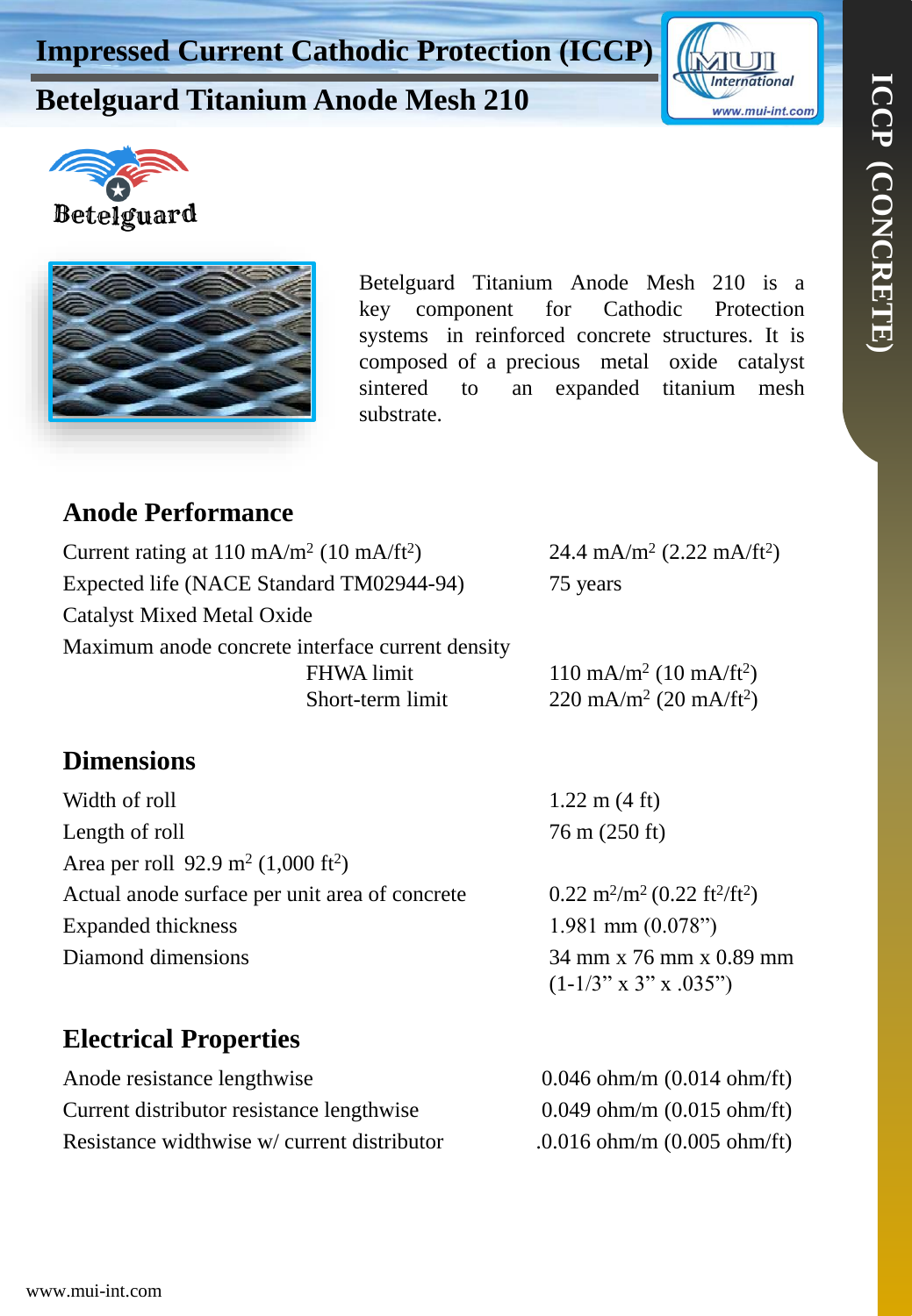# **International** www.mui-int.com

## **Betelguard Titanium Anode Mesh 210**





Betelguard Titanium Anode Mesh 210 is a key component for Cathodic Protection systems in reinforced concrete structures. It is composed of a precious metal oxide catalyst sintered to an expanded titanium mesh substrate.

#### **Anode Performance**

| Current rating at $110 \text{ mA/m}^2$ (10 mA/ft <sup>2</sup> ) |                   | 24.4 mA/m <sup>2</sup> (2.22 mA/ft <sup>2</sup> ) |
|-----------------------------------------------------------------|-------------------|---------------------------------------------------|
| Expected life (NACE Standard TM02944-94)                        |                   | 75 years                                          |
| <b>Catalyst Mixed Metal Oxide</b>                               |                   |                                                   |
| Maximum anode concrete interface current density                |                   |                                                   |
|                                                                 | <b>FHWA</b> limit | $110 \text{ mA/m}^2$ (10 mA/ft <sup>2</sup> )     |
|                                                                 | Short-term limit  | $220 \text{ mA/m}^2 (20 \text{ mA/ft}^2)$         |

#### **Dimensions**

| Width of roll                                              | $1.22 \text{ m} (4 \text{ ft})$  |
|------------------------------------------------------------|----------------------------------|
| Length of roll                                             | 76 m (250 ft)                    |
| Area per roll 92.9 m <sup>2</sup> (1,000 ft <sup>2</sup> ) |                                  |
| Actual anode surface per unit area of concrete             | $0.22 \text{ m}^2/\text{m}^2$ (0 |
| Expanded thickness                                         | $1.981$ mm $(0.$                 |
| Diamond dimensions                                         | 34 mm x 76 r                     |
|                                                            | $(1\;1/2"\times 2"\times$        |

### **Electrical Properties**

| Anode resistance lengthwise                 |
|---------------------------------------------|
| Current distributor resistance lengthwise   |
| Resistance widthwise w/ current distributor |

 $\frac{\text{m}^2 (0.22 \text{ ft}^2/\text{ft}^2)}{1}$  $nm (0.078")$  $x$  76 mm  $x$  0.89 mm  $(1-1/3" \times 3" \times .035")$ 

 $0.046$  ohm/m  $(0.014$  ohm/ft)  $0.049$  ohm/m  $(0.015$  ohm/ft)  $.0.016$  ohm/m  $(0.005$  ohm/ft)